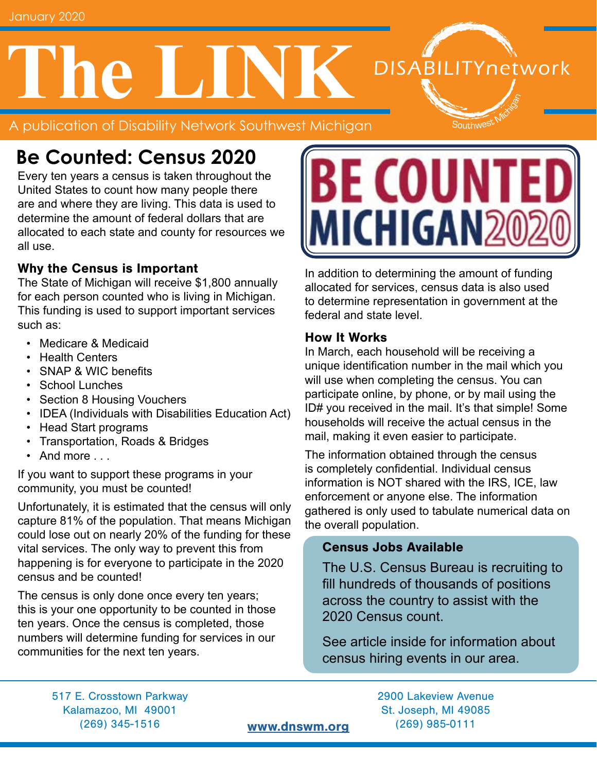# **The LINK DISABILITYnetwork**

A publication of Disability Network Southwest Michigan

# **Be Counted: Census 2020**

Every ten years a census is taken throughout the United States to count how many people there are and where they are living. This data is used to determine the amount of federal dollars that are allocated to each state and county for resources we all use.

#### Why the Census is Important

The State of Michigan will receive \$1,800 annually for each person counted who is living in Michigan. This funding is used to support important services such as:

- Medicare & Medicaid
- Health Centers
- SNAP & WIC benefits
- School Lunches
- Section 8 Housing Vouchers
- IDEA (Individuals with Disabilities Education Act)
- Head Start programs
- Transportation, Roads & Bridges
- And more ...

If you want to support these programs in your community, you must be counted!

Unfortunately, it is estimated that the census will only capture 81% of the population. That means Michigan could lose out on nearly 20% of the funding for these vital services. The only way to prevent this from happening is for everyone to participate in the 2020 census and be counted!

The census is only done once every ten years; this is your one opportunity to be counted in those ten years. Once the census is completed, those numbers will determine funding for services in our communities for the next ten years.



Southwest

In addition to determining the amount of funding allocated for services, census data is also used to determine representation in government at the federal and state level.

#### How It Works

In March, each household will be receiving a unique identification number in the mail which you will use when completing the census. You can participate online, by phone, or by mail using the ID# you received in the mail. It's that simple! Some households will receive the actual census in the mail, making it even easier to participate.

The information obtained through the census is completely confidential. Individual census information is NOT shared with the IRS, ICE, law enforcement or anyone else. The information gathered is only used to tabulate numerical data on the overall population.

#### Census Jobs Available

The U.S. Census Bureau is recruiting to fill hundreds of thousands of positions across the country to assist with the 2020 Census count.

See article inside for information about census hiring events in our area.

517 E. Crosstown Parkway 2900 Lakeview Avenue Kalamazoo, MI 49001 St. Joseph, MI 49085 (269) 345-1516 [www.dnswm.org](http://www.dnswm.org) (269) 985-0111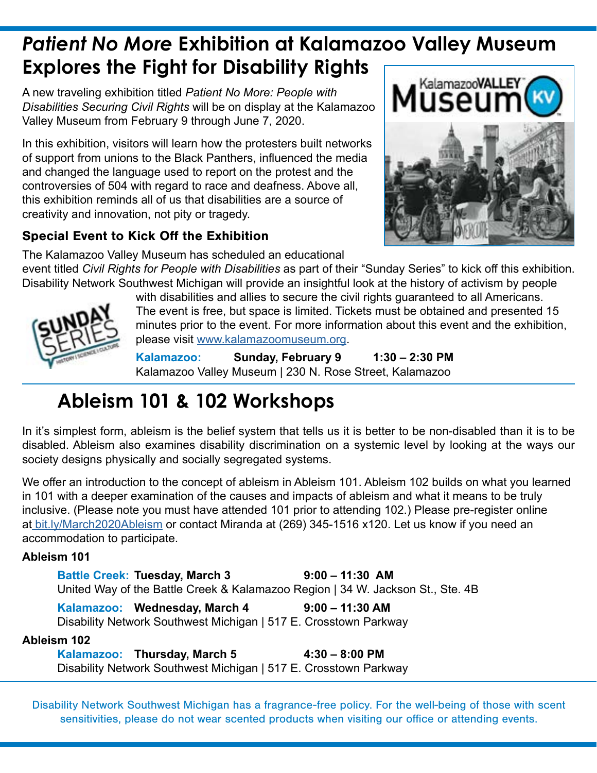# *Patient No More* **Exhibition at Kalamazoo Valley Museum Explores the Fight for Disability Rights**

A new traveling exhibition titled *Patient No More: People with Disabilities Securing Civil Rights* will be on display at the Kalamazoo Valley Museum from February 9 through June 7, 2020.

In this exhibition, visitors will learn how the protesters built networks of support from unions to the Black Panthers, influenced the media and changed the language used to report on the protest and the controversies of 504 with regard to race and deafness. Above all, this exhibition reminds all of us that disabilities are a source of creativity and innovation, not pity or tragedy.

#### Special Event to Kick Off the Exhibition



The Kalamazoo Valley Museum has scheduled an educational event titled *Civil Rights for People with Disabilities* as part of their "Sunday Series" to kick off this exhibition. Disability Network Southwest Michigan will provide an insightful look at the history of activism by people



with disabilities and allies to secure the civil rights guaranteed to all Americans. The event is free, but space is limited. Tickets must be obtained and presented 15 minutes prior to the event. For more information about this event and the exhibition, please visit [www.kalamazoomuseum.org](https://www.kalamazoomuseum.org/).

**Kalamazoo: Sunday, February 9 1:30 – 2:30 PM**  Kalamazoo Valley Museum | 230 N. Rose Street, Kalamazoo

# **Ableism 101 & 102 Workshops**

In it's simplest form, ableism is the belief system that tells us it is better to be non-disabled than it is to be disabled. Ableism also examines disability discrimination on a systemic level by looking at the ways our society designs physically and socially segregated systems.

We offer an introduction to the concept of ableism in Ableism 101. Ableism 102 builds on what you learned in 101 with a deeper examination of the causes and impacts of ableism and what it means to be truly inclusive. (Please note you must have attended 101 prior to attending 102.) Please pre-register online at [bit.ly/March2020Ableism](http://bit.ly/March2020Ableism) or contact Miranda at (269) 345-1516 x120. Let us know if you need an accommodation to participate.

#### **Ableism 101**

**Battle Creek: Tuesday, March 3 9:00 – 11:30 AM** United Way of the Battle Creek & Kalamazoo Region | 34 W. Jackson St., Ste. 4B

Kalamazoo: Wednesday, March 4 9:00 - 11:30 AM Disability Network Southwest Michigan | 517 E. Crosstown Parkway

#### **Ableism 102**

**Kalamazoo: Thursday, March 5 4:30 – 8:00 PM**  Disability Network Southwest Michigan | 517 E. Crosstown Parkway

Disability Network Southwest Michigan has a fragrance-free policy. For the well-being of those with scent sensitivities, please do not wear scented products when visiting our office or attending events.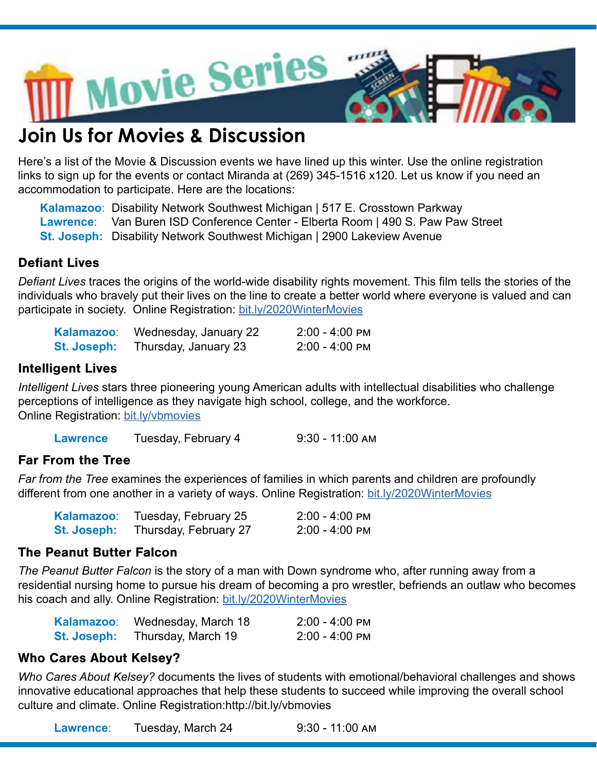

### **Join Us for Movies & Discussion**

Here's a list of the Movie & Discussion events we have lined up this winter. Use the online registration links to sign up for the events or contact Miranda at (269) 345-1516 x120. Let us know if you need an accommodation to participate. Here are the locations:

**Kalamazoo**: Disability Network Southwest Michigan | 517 E. Crosstown Parkway **Lawrence**: Van Buren ISD Conference Center - Elberta Room | 490 S. Paw Paw Street **St. Joseph:** Disability Network Southwest Michigan | 2900 Lakeview Avenue

#### Defiant Lives

*Defiant Lives* traces the origins of the world-wide disability rights movement. This film tells the stories of the individuals who bravely put their lives on the line to create a better world where everyone is valued and can participate in society. Online Registration: [bit.ly/2020WinterMovies](http://bit.ly/2020WinterMovies)

| Kalamazoo:         | Wednesday, January 22 | 2:00 - 4:00 PM |
|--------------------|-----------------------|----------------|
| <b>St. Joseph:</b> | Thursday, January 23  | 2:00 - 4:00 PM |

#### Intelligent Lives

*Intelligent Lives* stars three pioneering young American adults with intellectual disabilities who challenge perceptions of intelligence as they navigate high school, college, and the workforce. Online Registration: [bit.ly/vbmovies](http://bit.ly/vbmovies)

Lawrence Tuesday, February 4 9:30 - 11:00 AM

#### Far From the Tree

*Far from the Tree* examines the experiences of families in which parents and children are profoundly different from one another in a variety of ways. Online Registration: [bit.ly/2020WinterMovies](http://bit.ly/2020WinterMovies)

| Kalamazoo:         | Tuesday, February 25  | 2:00 - 4:00 PM |
|--------------------|-----------------------|----------------|
| <b>St. Joseph:</b> | Thursday, February 27 | 2:00 - 4:00 PM |

#### The Peanut Butter Falcon

*The Peanut Butter Falcon* is the story of a man with Down syndrome who, after running away from a residential nursing home to pursue his dream of becoming a pro wrestler, befriends an outlaw who becomes his coach and ally. Online Registration: [bit.ly/2020WinterMovies](http://bit.ly/2020WinterMovies)

| Kalamazoo:         | Wednesday, March 18 | 2:00 - 4:00 PM |
|--------------------|---------------------|----------------|
| <b>St. Joseph:</b> | Thursday, March 19  | 2:00 - 4:00 PM |

#### Who Cares About Kelsey?

*Who Cares About Kelsey?* documents the lives of students with emotional/behavioral challenges and shows innovative educational approaches that help these students to succeed while improving the overall school culture and climate. Online Registration:http://bit.ly/vbmovies

**Lawrence**: Tuesday, March 24 9:30 - 11:00 am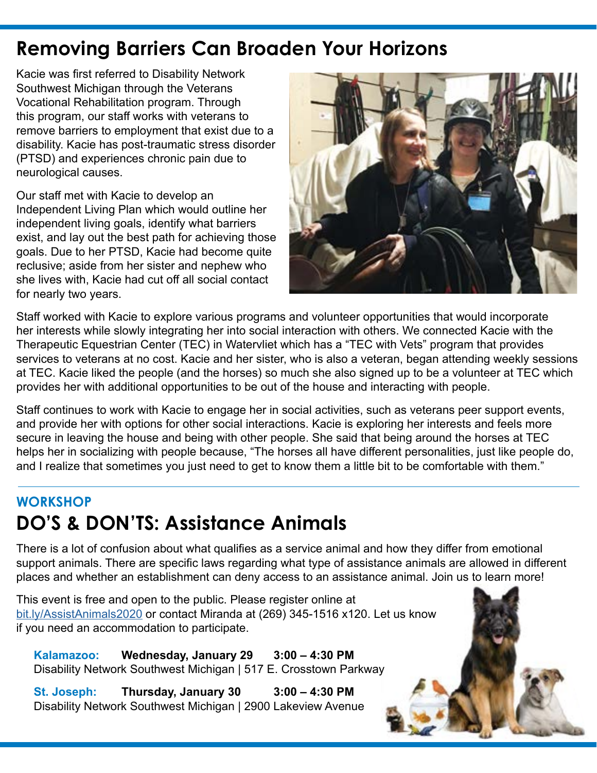### **Removing Barriers Can Broaden Your Horizons**

Kacie was first referred to Disability Network Southwest Michigan through the Veterans Vocational Rehabilitation program. Through this program, our staff works with veterans to remove barriers to employment that exist due to a disability. Kacie has post-traumatic stress disorder (PTSD) and experiences chronic pain due to neurological causes.

Our staff met with Kacie to develop an Independent Living Plan which would outline her independent living goals, identify what barriers exist, and lay out the best path for achieving those goals. Due to her PTSD, Kacie had become quite reclusive; aside from her sister and nephew who she lives with, Kacie had cut off all social contact for nearly two years.



Staff worked with Kacie to explore various programs and volunteer opportunities that would incorporate her interests while slowly integrating her into social interaction with others. We connected Kacie with the Therapeutic Equestrian Center (TEC) in Watervliet which has a "TEC with Vets" program that provides services to veterans at no cost. Kacie and her sister, who is also a veteran, began attending weekly sessions at TEC. Kacie liked the people (and the horses) so much she also signed up to be a volunteer at TEC which provides her with additional opportunities to be out of the house and interacting with people.

Staff continues to work with Kacie to engage her in social activities, such as veterans peer support events, and provide her with options for other social interactions. Kacie is exploring her interests and feels more secure in leaving the house and being with other people. She said that being around the horses at TEC helps her in socializing with people because, "The horses all have different personalities, just like people do, and I realize that sometimes you just need to get to know them a little bit to be comfortable with them."

### **WORKSHOP DO'S & DON'TS: Assistance Animals**

There is a lot of confusion about what qualifies as a service animal and how they differ from emotional support animals. There are specific laws regarding what type of assistance animals are allowed in different places and whether an establishment can deny access to an assistance animal. Join us to learn more!

This event is free and open to the public. Please register online at [bit.ly/AssistAnimals2020](http://bit.ly/AssistAnimals2020) or contact Miranda at (269) 345-1516 x120. Let us know if you need an accommodation to participate.

**Kalamazoo: Wednesday, January 29 3:00 – 4:30 PM**  Disability Network Southwest Michigan | 517 E. Crosstown Parkway

**St. Joseph: Thursday, January 30 3:00 – 4:30 PM** Disability Network Southwest Michigan | 2900 Lakeview Avenue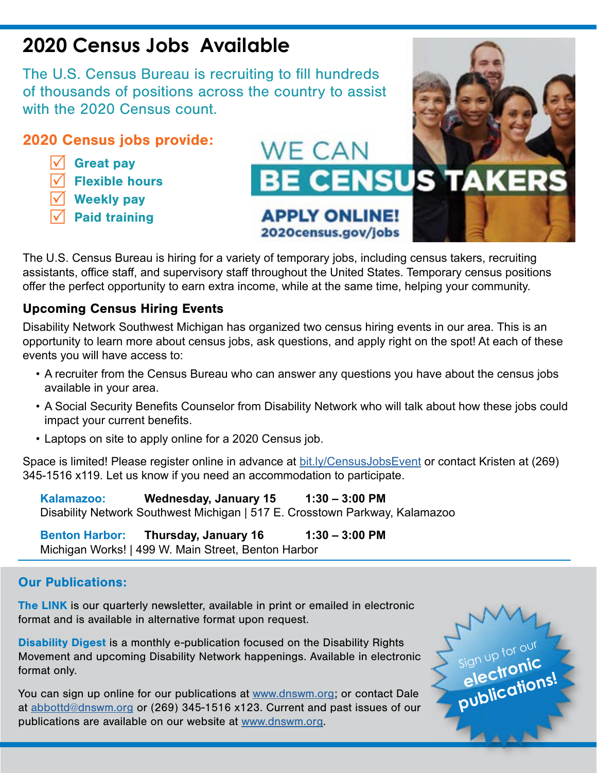### **2020 Census Jobs Available**

The U.S. Census Bureau is recruiting to fill hundreds of thousands of positions across the country to assist with the 2020 Census count.

#### 2020 Census jobs provide:

- $\sqrt{\phantom{a}}$  Great pay
- **Flexible hours**
- **Weekly pay**
- **Paid training**



The U.S. Census Bureau is hiring for a variety of temporary jobs, including census takers, recruiting assistants, office staff, and supervisory staff throughout the United States. Temporary census positions offer the perfect opportunity to earn extra income, while at the same time, helping your community.

#### Upcoming Census Hiring Events

Disability Network Southwest Michigan has organized two census hiring events in our area. This is an opportunity to learn more about census jobs, ask questions, and apply right on the spot! At each of these events you will have access to:

- A recruiter from the Census Bureau who can answer any questions you have about the census jobs available in your area.
- A Social Security Benefits Counselor from Disability Network who will talk about how these jobs could impact your current benefits.
- Laptops on site to apply online for a 2020 Census job.

Space is limited! Please register online in advance at [bit.ly/CensusJobsEvent](http://bit.ly/CensusJobsEvent) or contact Kristen at (269) 345-1516 x119. Let us know if you need an accommodation to participate.

Kalamazoo: Wednesday, January 15 1:30 – 3:00 PM Disability Network Southwest Michigan | 517 E. Crosstown Parkway, Kalamazoo

**Benton Harbor: Thursday, January 16 1:30 – 3:00 PM** Michigan Works! | 499 W. Main Street, Benton Harbor

#### Our Publications:

The LINK is our quarterly newsletter, available in print or emailed in electronic format and is available in alternative format upon request.

Disability Digest is a monthly e-publication focused on the Disability Rights Movement and upcoming Disability Network happenings. Available in electronic format only.

You can sign up online for our publications at [www.dnswm.org](http://www.dnswm.org/resources/publications/); or contact Dale at [abbottd@dnswm.org](mailto:abbottd%40dnswm.org?subject=) or (269) 345-1516 x123. Current and past issues of our publications are available on our website at [www.dnswm.org.](http://www.dnswm.org/resources/publications/)